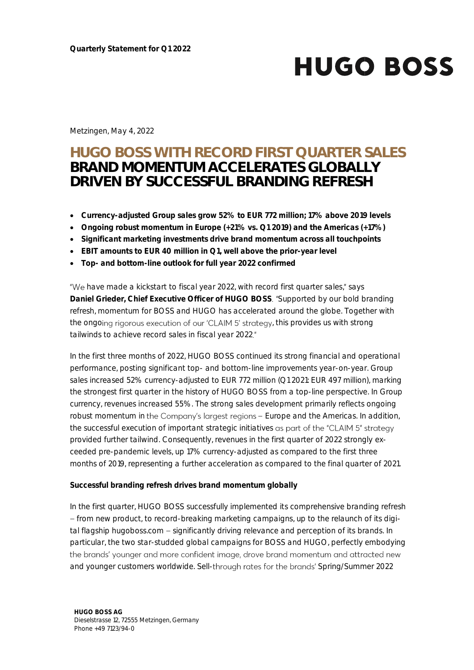Metzingen, May 4, 2022

# **HUGO BOSS WITH RECORD FIRST QUARTER SALES BRAND MOMENTUM ACCELERATES GLOBALLY DRIVEN BY SUCCESSFUL BRANDING REFRESH**

- **Currency-adjusted Group sales grow 52% to EUR 772 million; 17% above 2019 levels**
- **Ongoing robust momentum in Europe (+21% vs. Q1 2019) and the Americas (+17%)**
- **Significant marketing investments drive brand momentum across all touchpoints**
- **EBIT amounts to EUR 40 million in Q1, well above the prior-year level**
- **Top- and bottom-line outlook for full year 2022 confirmed**

"We have made a kickstart to fiscal year 2022, with record first quarter sales," says **Daniel Grieder, Chief Executive Officer of HUGO BOSS. "Supported by our bold branding** refresh, momentum for BOSS and HUGO has accelerated around the globe. Together with the ongoing rigorous execution of our 'CLAIM 5' strategy, this provides us with strong tailwinds to achieve record sales in fiscal year 2022."

In the first three months of 2022, HUGO BOSS continued its strong financial and operational performance, posting significant top- and bottom-line improvements year-on-year. Group sales increased 52% currency-adjusted to EUR 772 million (Q1 2021: EUR 497 million), marking the strongest first quarter in the history of HUGO BOSS from a top-line perspective. In Group currency, revenues increased 55%. The strong sales development primarily reflects ongoing robust momentum in the Company's largest regions - Europe and the Americas. In addition, the successful execution of important strategic initiatives as part of the "CLAIM 5" strategy provided further tailwind. Consequently, revenues in the first quarter of 2022 strongly exceeded pre-pandemic levels, up 17% currency-adjusted as compared to the first three months of 2019, representing a further acceleration as compared to the final quarter of 2021.

**Successful branding refresh drives brand momentum globally**

In the first quarter, HUGO BOSS successfully implemented its comprehensive branding refresh from new product, to record-breaking marketing campaigns, up to the relaunch of its digital flagship hugoboss.com - significantly driving relevance and perception of its brands. In particular, the two star-studded global campaigns for BOSS and HUGO, perfectly embodying the brands' younger and more confident image, drove brand momentum and attracted new and younger customers worldwide. Sell-through rates for the brands' Spring/Summer 2022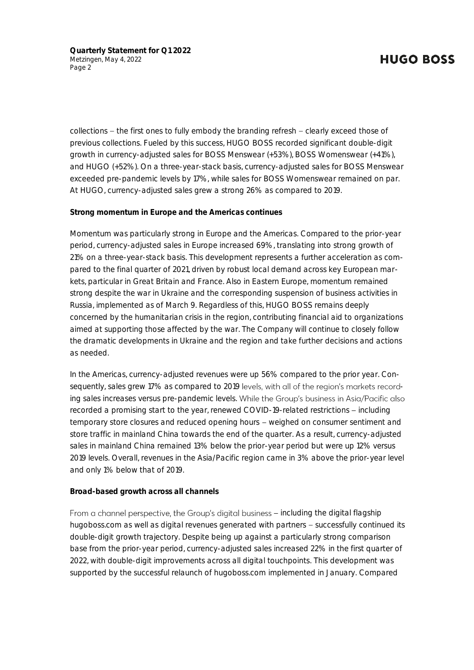collections – the first ones to fully embody the branding refresh – clearly exceed those of previous collections. Fueled by this success, HUGO BOSS recorded significant double-digit growth in currency-adjusted sales for BOSS Menswear (+53%), BOSS Womenswear (+41%), and HUGO (+52%). On a three-year-stack basis, currency-adjusted sales for BOSS Menswear exceeded pre-pandemic levels by 17%, while sales for BOSS Womenswear remained on par. At HUGO, currency-adjusted sales grew a strong 26% as compared to 2019.

**Strong momentum in Europe and the Americas continues**

Momentum was particularly strong in Europe and the Americas. Compared to the prior-year period, currency-adjusted sales in Europe increased 69%, translating into strong growth of 21% on a three-year-stack basis. This development represents a further acceleration as compared to the final quarter of 2021, driven by robust local demand across key European markets, particular in Great Britain and France. Also in Eastern Europe, momentum remained strong despite the war in Ukraine and the corresponding suspension of business activities in Russia, implemented as of March 9. Regardless of this, HUGO BOSS remains deeply concerned by the humanitarian crisis in the region, contributing financial aid to organizations aimed at supporting those affected by the war. The Company will continue to closely follow the dramatic developments in Ukraine and the region and take further decisions and actions as needed.

In the Americas, currency-adjusted revenues were up 56% compared to the prior year. Consequently, sales grew 17% as compared to 2019 levels, with all of the region's markets recording sales increases versus pre-pandemic levels. While the Group's business in Asig/Pacific also recorded a promising start to the year, renewed COVID-19-related restrictions – including temporary store closures and reduced opening hours – weighed on consumer sentiment and store traffic in mainland China towards the end of the quarter. As a result, currency-adjusted sales in mainland China remained 13% below the prior-year period but were up 12% versus 2019 levels. Overall, revenues in the Asia/Pacific region came in 3% above the prior-year level and only 1% below that of 2019.

#### **Broad-based growth across all channels**

From a channel perspective, the Group's digital business - including the digital flagship hugoboss.com as well as digital revenues generated with partners  $-$  successfully continued its double-digit growth trajectory. Despite being up against a particularly strong comparison base from the prior-year period, currency-adjusted sales increased 22% in the first quarter of 2022, with double-digit improvements across all digital touchpoints. This development was supported by the successful relaunch of hugoboss.com implemented in January. Compared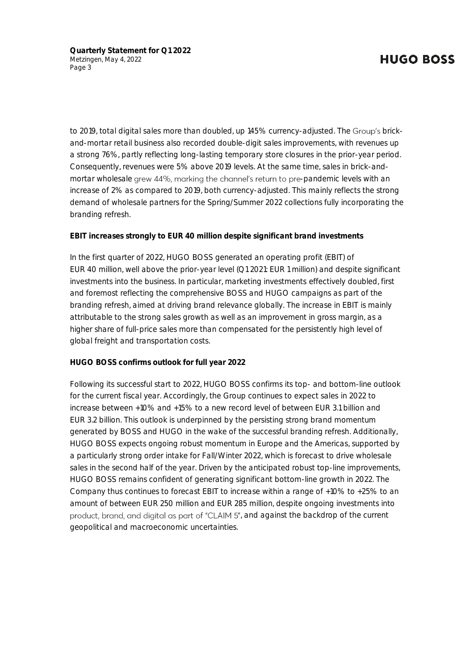**Quarterly Statement for Q1 2022** Metzingen, May 4, 2022 Page 3

to 2019, total digital sales more than doubled, up 145% currency-adjusted. The Group's brickand-mortar retail business also recorded double-digit sales improvements, with revenues up a strong 76%, partly reflecting long-lasting temporary store closures in the prior-year period. Consequently, revenues were 5% above 2019 levels. At the same time, sales in brick-andmortar wholesale grew 44%, marking the channel's return to pre-pandemic levels with an increase of 2% as compared to 2019, both currency-adjusted. This mainly reflects the strong demand of wholesale partners for the Spring/Summer 2022 collections fully incorporating the branding refresh.

**EBIT increases strongly to EUR 40 million despite significant brand investments**

In the first quarter of 2022, HUGO BOSS generated an operating profit (EBIT) of EUR 40 million, well above the prior-year level (Q1 2021: EUR 1 million) and despite significant investments into the business. In particular, marketing investments effectively doubled, first and foremost reflecting the comprehensive BOSS and HUGO campaigns as part of the branding refresh, aimed at driving brand relevance globally. The increase in EBIT is mainly attributable to the strong sales growth as well as an improvement in gross margin, as a higher share of full-price sales more than compensated for the persistently high level of global freight and transportation costs.

**HUGO BOSS confirms outlook for full year 2022**

Following its successful start to 2022, HUGO BOSS confirms its top- and bottom-line outlook for the current fiscal year. Accordingly, the Group continues to expect sales in 2022 to increase between +10% and +15% to a new record level of between EUR 3.1 billion and EUR 3.2 billion. This outlook is underpinned by the persisting strong brand momentum generated by BOSS and HUGO in the wake of the successful branding refresh. Additionally, HUGO BOSS expects ongoing robust momentum in Europe and the Americas, supported by a particularly strong order intake for Fall/Winter 2022, which is forecast to drive wholesale sales in the second half of the year. Driven by the anticipated robust top-line improvements, HUGO BOSS remains confident of generating significant bottom-line growth in 2022. The Company thus continues to forecast EBIT to increase within a range of +10% to +25% to an amount of between EUR 250 million and EUR 285 million, despite ongoing investments into product, brand, and digital as part of "CLAIM 5", and against the backdrop of the current geopolitical and macroeconomic uncertainties.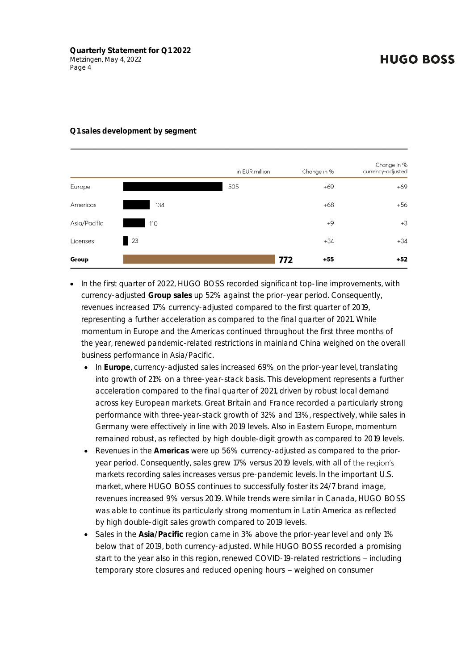|              |     | in EUR million | Change in %  | Change in %<br>currency-adjusted |
|--------------|-----|----------------|--------------|----------------------------------|
| Europe       |     | 505            | $+69$        | $+69$                            |
| Americas     | 134 |                | $+68$        | $+56$                            |
| Asia/Pacific | 110 |                | $+9$         | $+3$                             |
| Licenses     | 23  |                | $+34$        | $+34$                            |
| Group        |     |                | 772<br>$+55$ | $+52$                            |

#### **Q1 sales development by segment**

- In the first quarter of 2022, HUGO BOSS recorded significant top-line improvements, with currency-adjusted **Group sales** up 52% against the prior-year period. Consequently, revenues increased 17% currency-adjusted compared to the first quarter of 2019, representing a further acceleration as compared to the final quarter of 2021. While momentum in Europe and the Americas continued throughout the first three months of the year, renewed pandemic-related restrictions in mainland China weighed on the overall business performance in Asia/Pacific.
	- In **Europe**, currency-adjusted sales increased 69% on the prior-year level, translating into growth of 21% on a three-year-stack basis. This development represents a further acceleration compared to the final quarter of 2021, driven by robust local demand across key European markets. Great Britain and France recorded a particularly strong performance with three-year-stack growth of 32% and 13%, respectively, while sales in Germany were effectively in line with 2019 levels. Also in Eastern Europe, momentum remained robust, as reflected by high double-digit growth as compared to 2019 levels.
	- Revenues in the **Americas** were up 56% currency-adjusted as compared to the prioryear period. Consequently, sales grew 17% versus 2019 levels, with all of the region's markets recording sales increases versus pre-pandemic levels. In the important U.S. market, where HUGO BOSS continues to successfully foster its 24/7 brand image, revenues increased 9% versus 2019. While trends were similar in Canada, HUGO BOSS was able to continue its particularly strong momentum in Latin America as reflected by high double-digit sales growth compared to 2019 levels.
	- Sales in the **Asia/Pacific** region came in 3% above the prior-year level and only 1% below that of 2019, both currency-adjusted. While HUGO BOSS recorded a promising start to the year also in this region, renewed COVID-19-related restrictions – including temporary store closures and reduced opening hours - weighed on consumer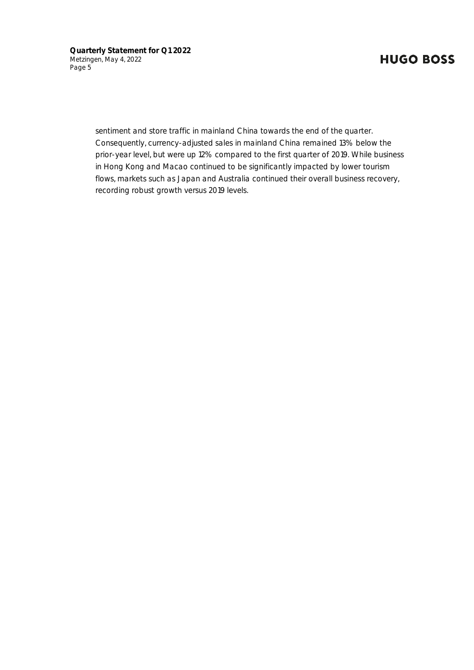**Quarterly Statement for Q1 2022** Metzingen, May 4, 2022 Page 5

> sentiment and store traffic in mainland China towards the end of the quarter. Consequently, currency-adjusted sales in mainland China remained 13% below the prior-year level, but were up 12% compared to the first quarter of 2019. While business in Hong Kong and Macao continued to be significantly impacted by lower tourism flows, markets such as Japan and Australia continued their overall business recovery, recording robust growth versus 2019 levels.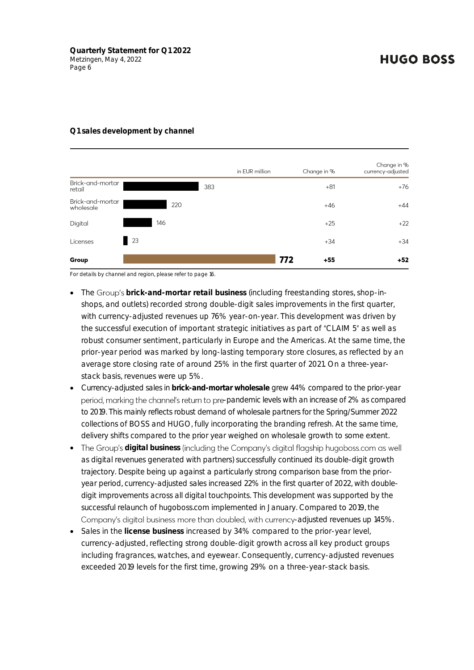#### **Q1 sales development by channel**

|                               |     |     | in EUR million | Change in %  | Change in %<br>currency-adjusted |
|-------------------------------|-----|-----|----------------|--------------|----------------------------------|
| Brick-and-mortar<br>retail    |     |     | 383            | $+81$        | $+76$                            |
| Brick-and-mortar<br>wholesale |     | 220 |                | $+46$        | $+44$                            |
| Digital                       | 146 |     |                | $+25$        | $+22$                            |
| Licenses                      | 23  |     |                | $+34$        | $+34$                            |
| Group                         |     |     |                | 772<br>$+55$ | $+52$                            |

For details by channel and region, please refer to page 16.

- The **brick-and-mortar retail business** (including freestanding stores, shop-inshops, and outlets) recorded strong double-digit sales improvements in the first quarter, with currency-adjusted revenues up 76% year-on-year. This development was driven by the successful execution of important strategic initiatives as part of "CLAIM 5" as well as robust consumer sentiment, particularly in Europe and the Americas. At the same time, the prior-year period was marked by long-lasting temporary store closures, as reflected by an average store closing rate of around 25% in the first quarter of 2021. On a three-yearstack basis, revenues were up 5%.
- Currency-adjusted sales in **brick-and-mortar wholesale** grew 44% compared to the prior-year period, marking the channel's return to pre-pandemic levels with an increase of 2% as compared to 2019. This mainly reflects robust demand of wholesale partners for the Spring/Summer 2022 collections of BOSS and HUGO, fully incorporating the branding refresh. At the same time, delivery shifts compared to the prior year weighed on wholesale growth to some extent.
- The Group's digital business (including the Company's digital flagship hugoboss.com as well as digital revenues generated with partners) successfully continued its double-digit growth trajectory. Despite being up against a particularly strong comparison base from the prioryear period, currency-adjusted sales increased 22% in the first quarter of 2022, with doubledigit improvements across all digital touchpoints. This development was supported by the successful relaunch of hugoboss.com implemented in January. Compared to 2019, the Company's digital business more than doubled, with currency-adjusted revenues up 145%.
- Sales in the **license business** increased by 34% compared to the prior-year level, currency-adjusted, reflecting strong double-digit growth across all key product groups including fragrances, watches, and eyewear. Consequently, currency-adjusted revenues exceeded 2019 levels for the first time, growing 29% on a three-year-stack basis.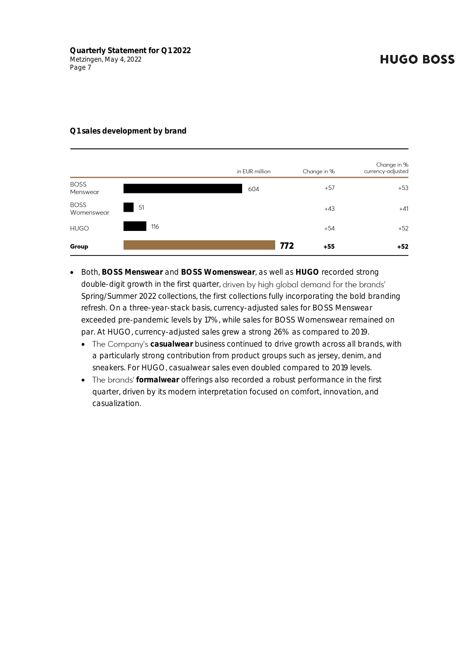#### **Q1 sales development by brand**

|                           |      | in EUR million | Change in %  | Change in %<br>currency-adjusted |
|---------------------------|------|----------------|--------------|----------------------------------|
| <b>BOSS</b><br>Menswear   |      | 604            | $+57$        | $+53$                            |
| <b>BOSS</b><br>Womenswear | - 51 |                | $+43$        | $+41$                            |
| <b>HUGO</b>               | 116  |                | $+54$        | $+52$                            |
| Group                     |      |                | 772<br>$+55$ | $+52$                            |

- Both, **BOSS Menswear** and **BOSS Womenswear**, as well as **HUGO** recorded strong double-digit growth in the first quarter, driven by high global demand for the brands' Spring/Summer 2022 collections, the first collections fully incorporating the bold branding refresh. On a three-year-stack basis, currency-adjusted sales for BOSS Menswear exceeded pre-pandemic levels by 17%, while sales for BOSS Womenswear remained on par. At HUGO, currency-adjusted sales grew a strong 26% as compared to 2019.
	- The Company's casualwear business continued to drive growth across all brands, with a particularly strong contribution from product groups such as jersey, denim, and sneakers. For HUGO, casualwear sales even doubled compared to 2019 levels.
	- The brands' formalwear offerings also recorded a robust performance in the first quarter, driven by its modern interpretation focused on comfort, innovation, and casualization.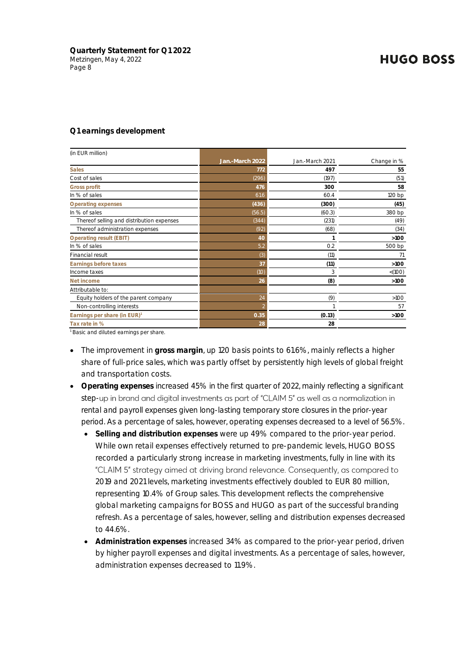#### **Q1 earnings development**

| (in EUR million)                          |                 |                 |             |
|-------------------------------------------|-----------------|-----------------|-------------|
|                                           | Jan.-March 2022 | Jan.-March 2021 | Change in % |
| <b>Sales</b>                              | 772             | 497             | 55          |
| Cost of sales                             | (296)           | (197)           | (51)        |
| Gross profit                              | 476             | 300             | 58          |
| In % of sales                             | 61.6            | 60.4            | 120 bp      |
| Operating expenses                        | (436)           | (300)           | (45)        |
| In % of sales                             | (56.5)          | (60.3)          | 380 bp      |
| Thereof selling and distribution expenses | (344)           | (231)           | (49)        |
| Thereof administration expenses           | (92)            | (68)            | (34)        |
| Operating result (EBIT)                   | 40              |                 | $>100$      |
| In % of sales                             | 5.2             | 0.2             | 500 bp      |
| Financial result                          | (3)             | (11)            | 71          |
| Earnings before taxes                     | 37              | (11)            | $>100$      |
| Income taxes                              | (10)            | 3               | < (100)     |
| Net income                                | 26              | (8)             | $>100$      |
| Attributable to:                          |                 |                 |             |
| Equity holders of the parent company      | 24              | (9)             | $>100$      |
| Non-controlling interests                 |                 |                 | 57          |
| Earnings per share (in EUR) <sup>1</sup>  | 0.35            | (0.13)          | $>100$      |
| Tax rate in %                             | 28              | 28              |             |
|                                           |                 |                 |             |

<sup>1</sup> Basic and diluted earnings per share.

- The improvement in **gross margin**, up 120 basis points to 61.6%, mainly reflects a higher share of full-price sales, which was partly offset by persistently high levels of global freight and transportation costs.
- **Operating expenses** increased 45% in the first quarter of 2022, mainly reflecting a significant step-up in brand and digital investments as part of "CLAIM 5" as well as a normalization in rental and payroll expenses given long-lasting temporary store closures in the prior-year period. As a percentage of sales, however, operating expenses decreased to a level of 56.5%.
	- **Selling and distribution expenses** were up 49% compared to the prior-year period. While own retail expenses effectively returned to pre-pandemic levels, HUGO BOSS recorded a particularly strong increase in marketing investments, fully in line with its "CLAIM 5" strategy aimed at driving brand relevance. Consequently, as compared to 2019 and 2021 levels, marketing investments effectively doubled to EUR 80 million, representing 10.4% of Group sales. This development reflects the comprehensive global marketing campaigns for BOSS and HUGO as part of the successful branding refresh. As a percentage of sales, however, selling and distribution expenses decreased to 44.6%.
	- **Administration expenses** increased 34% as compared to the prior-year period, driven by higher payroll expenses and digital investments. As a percentage of sales, however, administration expenses decreased to 11.9%.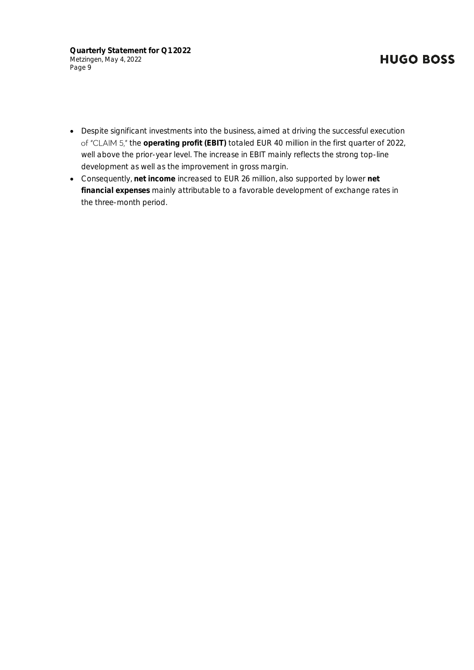**Quarterly Statement for Q1 2022** Metzingen, May 4, 2022 Page 9

# **HUGO BOSS**

- Despite significant investments into the business, aimed at driving the successful execution of "CLAIM 5," the operating profit (EBIT) totaled EUR 40 million in the first quarter of 2022, well above the prior-year level. The increase in EBIT mainly reflects the strong top-line development as well as the improvement in gross margin.
- Consequently, **net income** increased to EUR 26 million, also supported by lower **net financial expenses** mainly attributable to a favorable development of exchange rates in the three-month period.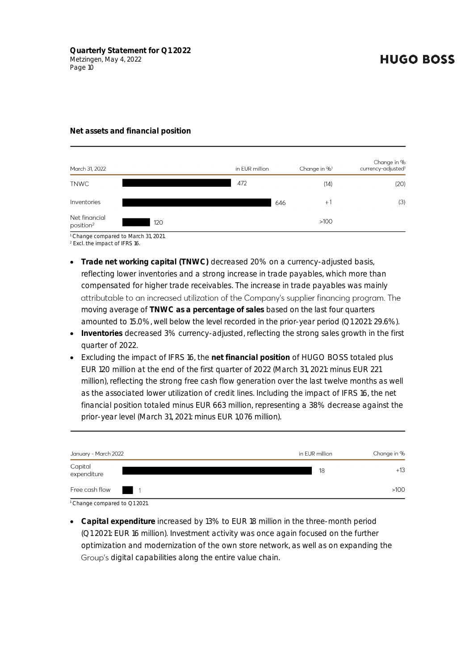#### **Net assets and financial position**

| March 31, 2022                         |     | in EUR million | Change in % <sup>1</sup> | Change in %<br>currency-adjusted <sup>1</sup> |
|----------------------------------------|-----|----------------|--------------------------|-----------------------------------------------|
| <b>TNWC</b>                            |     | 472            | (14)                     | (20)                                          |
| Inventories                            |     | 646            | $+1$                     | (3)                                           |
| Net financial<br>position <sup>2</sup> | 120 |                | >100                     |                                               |

<sup>1</sup> Change compared to March 31, 2021.

<sup>2</sup> Excl. the impact of IFRS 16.

- **Trade net working capital (TNWC)** decreased 20% on a currency-adjusted basis, reflecting lower inventories and a strong increase in trade payables, which more than compensated for higher trade receivables. The increase in trade payables was mainly attributable to an increased utilization of the Company's supplier financing program. The moving average of **TNWC as a percentage of sales** based on the last four quarters amounted to 15.0%, well below the level recorded in the prior-year period (Q1 2021: 29.6%).
- **Inventories** decreased 3% currency-adjusted, reflecting the strong sales growth in the first quarter of 2022.
- Excluding the impact of IFRS 16, the **net financial position** of HUGO BOSS totaled plus EUR 120 million at the end of the first quarter of 2022 (March 31, 2021: minus EUR 221 million), reflecting the strong free cash flow generation over the last twelve months as well as the associated lower utilization of credit lines. Including the impact of IFRS 16, the net financial position totaled minus EUR 663 million, representing a 38% decrease against the prior-year level (March 31, 2021: minus EUR 1,076 million).

| January - March 2022   | in EUR million | Change in % |
|------------------------|----------------|-------------|
| Capital<br>expenditure | 18             | $+13$       |
| Free cash flow 1       |                | $>100$      |

<sup>&</sup>lt;sup>1</sup> Change compared to Q1 2021.

• **Capital expenditure** increased by 13% to EUR 18 million in the three-month period (Q1 2021: EUR 16 million). Investment activity was once again focused on the further optimization and modernization of the own store network, as well as on expanding the Group's digital capabilities along the entire value chain.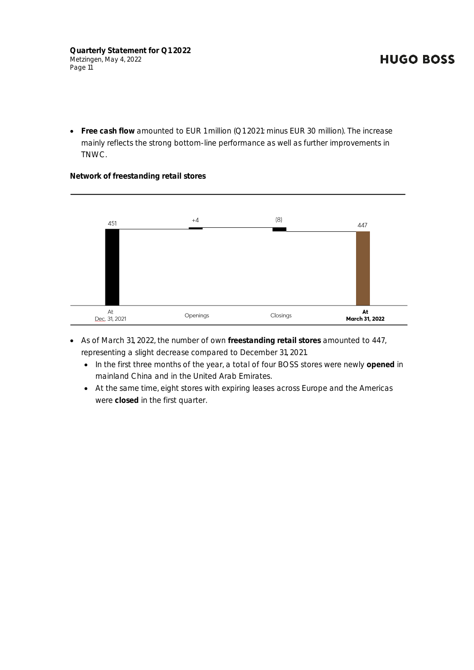• **Free cash flow** amounted to EUR 1 million (Q1 2021: minus EUR 30 million). The increase mainly reflects the strong bottom-line performance as well as further improvements in TNWC.

**Network of freestanding retail stores**



- As of March 31, 2022, the number of own **freestanding retail stores** amounted to 447, representing a slight decrease compared to December 31, 2021.
	- In the first three months of the year, a total of four BOSS stores were newly **opened** in mainland China and in the United Arab Emirates.
	- At the same time, eight stores with expiring leases across Europe and the Americas were **closed** in the first quarter.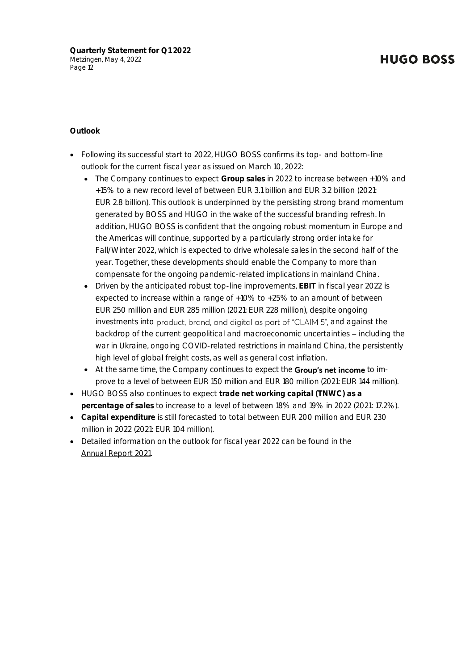#### **Outlook**

- Following its successful start to 2022, HUGO BOSS confirms its top- and bottom-line outlook for the current fiscal year as issued on March 10, 2022:
	- The Company continues to expect **Group sales** in 2022 to increase between +10% and +15% to a new record level of between EUR 3.1 billion and EUR 3.2 billion (2021: EUR 2.8 billion). This outlook is underpinned by the persisting strong brand momentum generated by BOSS and HUGO in the wake of the successful branding refresh. In addition, HUGO BOSS is confident that the ongoing robust momentum in Europe and the Americas will continue, supported by a particularly strong order intake for Fall/Winter 2022, which is expected to drive wholesale sales in the second half of the year. Together, these developments should enable the Company to more than compensate for the ongoing pandemic-related implications in mainland China.
	- Driven by the anticipated robust top-line improvements, **EBIT** in fiscal year 2022 is expected to increase within a range of +10% to +25% to an amount of between EUR 250 million and EUR 285 million (2021: EUR 228 million), despite ongoing investments into product, brand, and digital as part of "CLAIM 5", and against the backdrop of the current geopolitical and macroeconomic uncertainties - including the war in Ukraine, ongoing COVID-related restrictions in mainland China, the persistently high level of global freight costs, as well as general cost inflation.
	- At the same time, the Company continues to expect the Group's net income to improve to a level of between EUR 150 million and EUR 180 million (2021: EUR 144 million).
- HUGO BOSS also continues to expect **trade net working capital (TNWC) as a percentage of sales** to increase to a level of between 18% and 19% in 2022 (2021: 17.2%).
- **Capital expenditure** is still forecasted to total between EUR 200 million and EUR 230 million in 2022 (2021: EUR 104 million).
- Detailed information on the outlook for fiscal year 2022 can be found in the [Annual](https://annualreport-2021.hugoboss.com/management-report/outlook.html) Report 2021.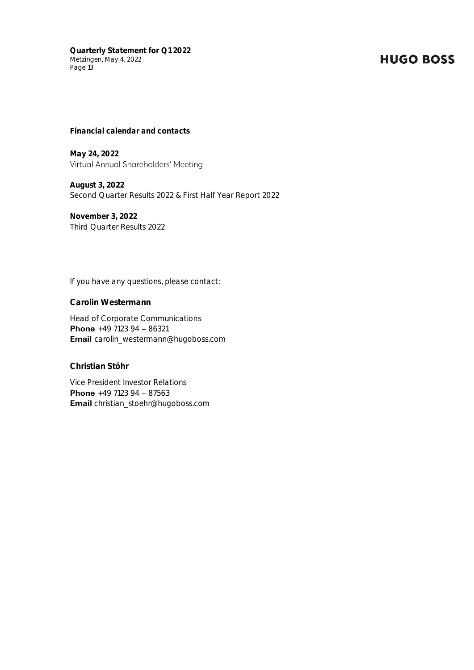**Quarterly Statement for Q1 2022** Metzingen, May 4, 2022 Page 13

### **HUGO BOSS**

**Financial calendar and contacts** 

**May 24, 2022** Virtual Annual Shareholders' Meeting

**August 3, 2022** Second Quarter Results 2022 & First Half Year Report 2022

**November 3, 2022** Third Quarter Results 2022

If you have any questions, please contact:

**Carolin Westermann** 

Head of Corporate Communications **Phone**  $+49$  7123 94 - 86321 **Email** carolin\_westermann@hugoboss.com

**Christian Stöhr**

Vice President Investor Relations **Phone**  $+49$  7123 94 - 87563 **Email** christian\_stoehr@hugoboss.com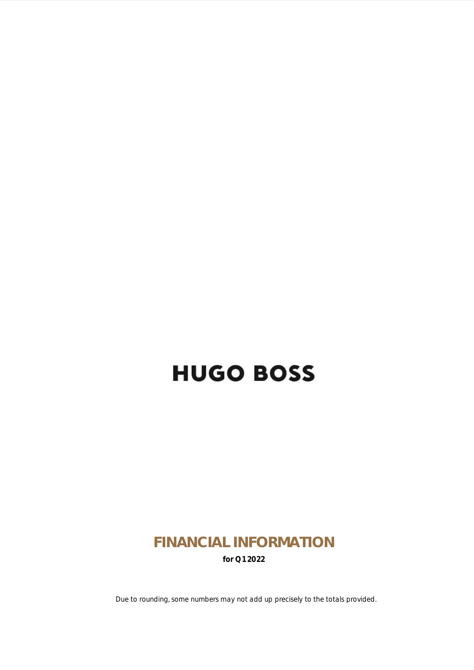# **FINANCIAL INFORMATION for Q1 2022**

Due to rounding, some numbers may not add up precisely to the totals provided.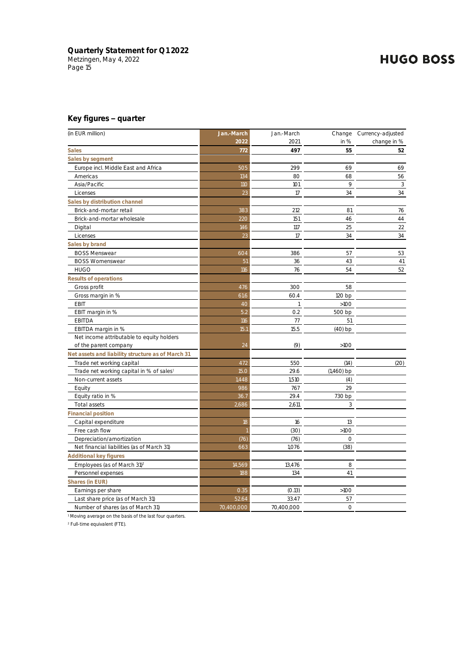#### **Key figures quarter**

| (in EUR million)                                     | Jan.-March | Jan.-March   |              | Change Currency-adjusted |
|------------------------------------------------------|------------|--------------|--------------|--------------------------|
|                                                      | 2022       | 2021         | in %         | change in %              |
| <b>Sales</b>                                         | 772        | 497          | 55           | 52                       |
| Sales by segment                                     |            |              |              |                          |
| Europe incl. Middle East and Africa                  | 505        | 299          | 69           | 69                       |
| Americas                                             | 134        | 80           | 68           | 56                       |
| Asia/Pacific                                         | <b>110</b> | 101          | 9            | 3                        |
| Licenses                                             | 23         | 17           | 34           | 34                       |
| Sales by distribution channel                        |            |              |              |                          |
| Brick-and-mortar retail                              | 383        | 212          | 81           | 76                       |
| Brick-and-mortar wholesale                           | 220        | 151          | 46           | 44                       |
| Digital                                              | 146        | 117          | 25           | 22                       |
| Licenses                                             | 23         | 17           | 34           | 34                       |
| Sales by brand                                       |            |              |              |                          |
| <b>BOSS Menswear</b>                                 | 604        | 386          | 57           | 53                       |
| <b>BOSS Womenswear</b>                               | 51         | 36           | 43           | 41                       |
| <b>HUGO</b>                                          | 116        | 76           | 54           | 52                       |
| Results of operations                                |            |              |              |                          |
| Gross profit                                         | 476        | 300          | 58           |                          |
| Gross margin in %                                    | 61.6       | 60.4         | 120 bp       |                          |
| <b>EBIT</b>                                          | 40         | $\mathbf{1}$ | $>100$       |                          |
| EBIT margin in %                                     | 5.2        | 0.2          | 500 bp       |                          |
| EBITDA                                               | 116        | 77           | 51           |                          |
| EBITDA margin in %                                   | 15.1       | 15.5         | $(40)$ bp    |                          |
| Net income attributable to equity holders            |            |              |              |                          |
| of the parent company                                | 24         | (9)          | >100         |                          |
| Net assets and liability structure as of March 31    |            |              |              |                          |
| Trade net working capital                            | 472        | 550          | (14)         | (20)                     |
| Trade net working capital in % of sales <sup>1</sup> | 15.0       | 29.6         | $(1,460)$ bp |                          |
| Non-current assets                                   | 1,448      | 1,510        | (4)          |                          |
| Equity                                               | 986        | 767          | 29           |                          |
| Equity ratio in %                                    | 36.7       | 29.4         | 730 bp       |                          |
| Total assets                                         | 2,686      | 2,611        | 3            |                          |
| <b>Financial position</b>                            |            |              |              |                          |
| Capital expenditure                                  | 18         | 16           | 13           |                          |
| Free cash flow                                       |            | (30)         | $>100$       |                          |
| Depreciation/amortization                            | (76)       | (76)         | $\circ$      |                          |
| Net financial liabilities (as of March 31)           | 663        | 1,076        | (38)         |                          |
| Additional key figures                               |            |              |              |                          |
| Employees (as of March 31) <sup>2</sup>              | 14,569     | 13,476       | 8            |                          |
| Personnel expenses                                   | 188        | 134          | 41           |                          |
| Shares (in EUR)                                      |            |              |              |                          |
| Earnings per share                                   | 0.35       | (0.13)       | $>100$       |                          |
| Last share price (as of March 31)                    | 52.64      | 33.47        | 57           |                          |
| Number of shares (as of March 31)                    | 70,400,000 | 70,400,000   | $\circ$      |                          |

<sup>1</sup> Moving average on the basis of the last four quarters.

<sup>2</sup> Full-time equivalent (FTE).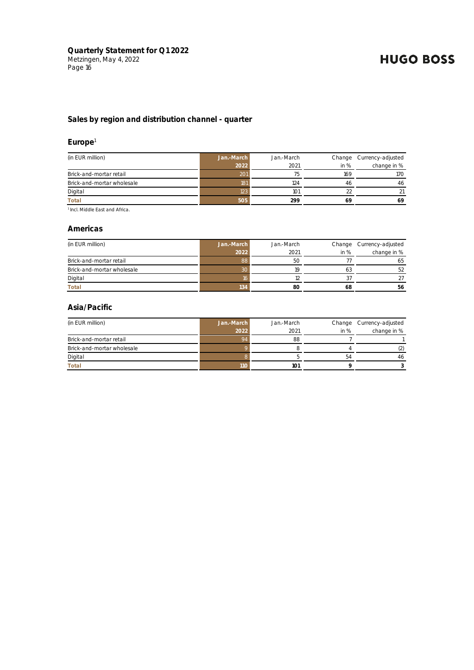#### **Sales by region and distribution channel - quarter**

#### **Europe**<sup>1</sup>

| (in EUR million)           | Jan.-March | Jan.-March |        | Change Currency-adjusted |
|----------------------------|------------|------------|--------|--------------------------|
|                            | 2022       | 2021       | in $%$ | change in %              |
| Brick-and-mortar retail    | 201        |            | 169    | 170                      |
| Brick-and-mortar wholesale | 181        | 124        | 46     | 46                       |
| Digital                    | 123        | 101        |        | 21                       |
| Total                      | 505        | 299        | 69     | 69                       |

1 Incl. Middle East and Africa.

#### **Americas**

| (in EUR million)           | Jan.-March | Jan.-March |        | Change Currency-adjusted |
|----------------------------|------------|------------|--------|--------------------------|
|                            | 2022       | 2021       | in $%$ | change in %              |
| Brick-and-mortar retail    | 88         | 50         |        | 65                       |
| Brick-and-mortar wholesale |            | 1Q         | b.     | 52                       |
| Digital                    |            |            |        |                          |
| Total                      | 134        | 8C         | 68     | 56                       |

#### **Asia/Pacific**

| (in EUR million)           | Jan.-March | Jan.-March |        | Change Currency-adjusted |
|----------------------------|------------|------------|--------|--------------------------|
|                            | 2022       | 2021       | in $%$ | change in %              |
| Brick-and-mortar retail    |            | 88         |        |                          |
| Brick-and-mortar wholesale |            |            |        |                          |
| Digital                    |            |            | 54     | 46                       |
| Total                      | 11C        | 101        |        |                          |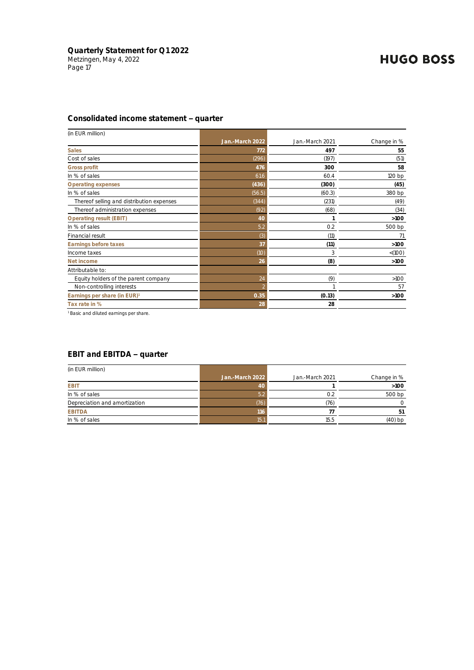#### **Consolidated income statement quarter**

| (in EUR million)                          |                 |                 |             |
|-------------------------------------------|-----------------|-----------------|-------------|
|                                           | Jan.-March 2022 | Jan.-March 2021 | Change in % |
| <b>Sales</b>                              | 772             | 497             | 55          |
| Cost of sales                             | (296)           | (197)           | (51)        |
| <b>Gross profit</b>                       | 476             | 300             | 58          |
| In % of sales                             | 61.6            | 60.4            | 120 bp      |
| Operating expenses                        | (436)           | (300)           | (45)        |
| In % of sales                             | (56.5)          | (60.3)          | 380 bp      |
| Thereof selling and distribution expenses | (344)           | (231)           | (49)        |
| Thereof administration expenses           | (92)            | (68)            | (34)        |
| Operating result (EBIT)                   | 40              |                 | $>100$      |
| In % of sales                             | 5.2             | 0.2             | 500 bp      |
| Financial result                          | (3)             | (11)            | 71          |
| Earnings before taxes                     | 37              | (11)            | $>100$      |
| Income taxes                              | (1O)            | 3               | < (100)     |
| Net income                                | 26              | (8)             | $>100$      |
| Attributable to:                          |                 |                 |             |
| Equity holders of the parent company      | 24              | (9)             | $>100$      |
| Non-controlling interests                 | D               |                 | 57          |
| Earnings per share (in EUR) <sup>1</sup>  | 0.35            | (0.13)          | $>100$      |
| Tax rate in %                             | 28              | 28              |             |

<sup>1</sup> Basic and diluted earnings per share.

#### **EBIT and EBITDA quarter**

| (in EUR million)              |                 |                 |             |
|-------------------------------|-----------------|-----------------|-------------|
|                               | Jan.-March 2022 | Jan.-March 2021 | Change in % |
| EBIT                          | 40              |                 | >100        |
| In % of sales                 | 5.2             | 0.2             | 500 bp      |
| Depreciation and amortization | (76)            | (76)            |             |
| EBITDA                        | 116             |                 | 51          |
| In % of sales                 | 15.1            | 15.5            | $(40)$ bp   |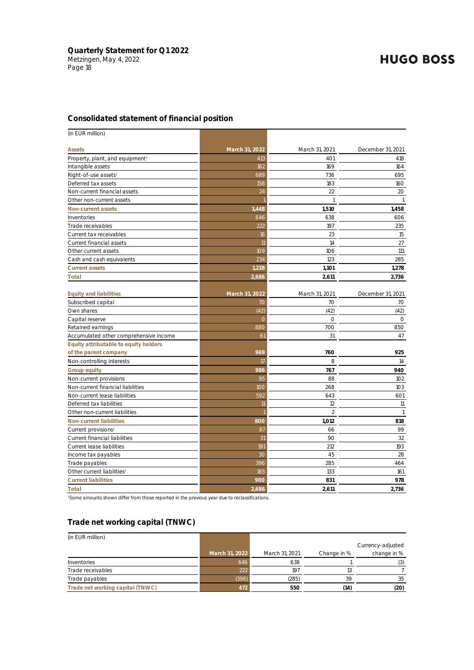#### **Consolidated statement of financial position**

| (in EUR million)                       |                |                |                   |
|----------------------------------------|----------------|----------------|-------------------|
| Assets                                 | March 31, 2022 | March 31, 2021 | December 31, 2021 |
| Property, plant, and equipment!        | 413            | 401            | 418               |
| Intangible assets                      | 162            | 169            | 164               |
| Right-of-use assets <sup>1</sup>       | 689            | 736            | 695               |
| Deferred tax assets                    | 158            | 183            | 160               |
| Non-current financial assets           | 24             | 22             | 20                |
| Other non-current assets               |                | $\mathbf{1}$   | $\mathbf{1}$      |
| Non-current assets                     | 1,448          | 1,510          | 1,458             |
| Inventories                            | 646            | 638            | 606               |
| Trade receivables                      | 222            | 197            | 235               |
| Current tax receivables                | 16             | 23             | 15                |
| Current financial assets               | 11             | 14             | 27                |
| Other current assets                   | 109            | 106            | 111               |
| Cash and cash equivalents              | 234            | 123            | 285               |
| <b>Current assets</b>                  | 1,238          | 1,101          | 1,278             |
| Total                                  | 2,686          | 2,611          | 2,736             |
| <b>Equity and liabilities</b>          | March 31, 2022 | March 31, 2021 | December 31, 2021 |
| Subscribed capital                     | 70             | 70             | 70                |
| Own shares                             | (42)           | (42)           | (42)              |
| Capital reserve                        | $\overline{O}$ | $\circ$        | $\circ$           |
| Retained earnings                      | 880            | 700            | 850               |
| Accumulated other comprehensive income | 61             | 31             | 47                |
| Equity attributable to equity holders  |                |                |                   |
| of the parent company                  | 969            | 760            | 925               |
| Non-controlling interests              | 17             | 8              | 14                |
| Group equity                           | 986            | 767            | 940               |
| Non-current provisions                 | 95             | 88             | 102               |
| Non-current financial liabilities      | 100            | 268            | 103               |
| Non-current lease liabilities          | 592            | 643            | 601               |
| Deferred tax liabilities               | 11             | 12             | 11                |
| Other non-current liabilities          |                | $\overline{2}$ | $\mathbf{1}$      |
| Non-current liabilities                | 800            | 1,012          | 818               |
| Current provisions <sup>1</sup>        | 87             | 66             | 99                |
| Current financial liabilities          | 31             | 90             | 32                |
| Current lease liabilities              | 191            | 212            | 193               |
| Income tax payables                    | 30             | 45             | 28                |
| Trade payables                         | 396            | 285            | 464               |
| Other current liabilities <sup>1</sup> | 165            | 133            | 161               |
| <b>Current liabilities</b>             | 900            | 831            | 978               |
| Total                                  | 2,686          | 2,611          | 2,736             |

<sup>1</sup>Some amounts shown differ from those reported in the previous year due to reclassifications.

#### **Trade net working capital (TNWC)**

| (in EUR million)                 |                |                |             |                   |
|----------------------------------|----------------|----------------|-------------|-------------------|
|                                  |                |                |             | Currency-adjusted |
|                                  | March 31, 2022 | March 31, 2021 | Change in % | change in %       |
| Inventories                      | 646            | 638            |             |                   |
| Trade receivables                | 222            | 197            | 13          |                   |
| Trade payables                   | (396)          | (285)          | 39          | 35                |
| Trade net working capital (TNWC) | 472            | 550            | (14)        | (20)              |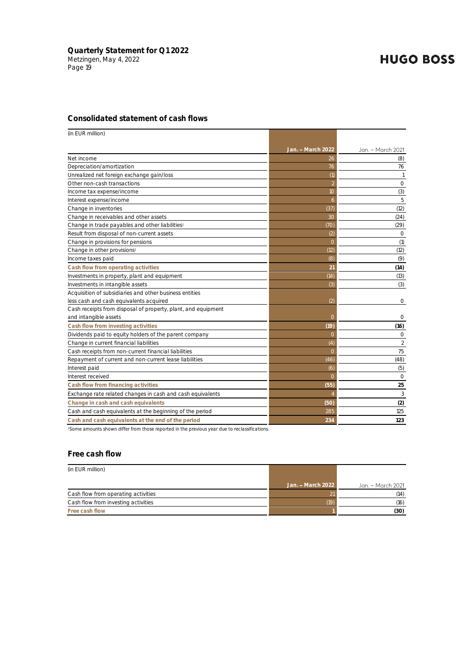#### **Consolidated statement of cash flows**

| (in EUR million)                                                                       |                          |                   |
|----------------------------------------------------------------------------------------|--------------------------|-------------------|
|                                                                                        | Jan. - March 2022        | Jan. - March 2021 |
| Net income                                                                             | 26                       | (8)               |
| Depreciation/amortization                                                              | 76                       | 76                |
| Unrealized net foreign exchange gain/loss                                              | (1)                      |                   |
| Other non-cash transactions                                                            | $\overline{\phantom{a}}$ | $\circ$           |
| Income tax expense/income                                                              | 10                       | (3)               |
| Interest expense/income                                                                | 6                        | 5                 |
| Change in inventories                                                                  | (37)                     | (12)              |
| Change in receivables and other assets                                                 | 30                       | (24)              |
| Change in trade payables and other liabilities <sup>1</sup>                            | (7O)                     | (29)              |
| Result from disposal of non-current assets                                             | (2)                      | $\circ$           |
| Change in provisions for pensions                                                      | $\overline{O}$           | (1)               |
| Change in other provisions <sup>1</sup>                                                | (12)                     | (12)              |
| Income taxes paid                                                                      | (8)                      | (9)               |
| Cash flow from operating activities                                                    | 21                       | (14)              |
| Investments in property, plant and equipment                                           | (14)                     | (13)              |
| Investments in intangible assets                                                       | (3)                      | (3)               |
| Acquisition of subsidiaries and other business entities                                |                          |                   |
| less cash and cash equivalents acquired                                                | (2)                      | 0                 |
| Cash receipts from disposal of property, plant, and equipment<br>and intangible assets | 0                        | 0                 |
| Cash flow from investing activities                                                    | (19)                     | (16)              |
| Dividends paid to equity holders of the parent company                                 | 0                        | 0                 |
| Change in current financial liabilities                                                | (4)                      | 2                 |
| Cash receipts from non-current financial liabilities                                   | $\Omega$                 | 75                |
| Repayment of current and non-current lease liabilities                                 | (46)                     | (48)              |
| Interest paid                                                                          | (6)                      | (5)               |
| Interest received                                                                      | $\Omega$                 | $\circ$           |
| Cash flow from financing activities                                                    | (55)                     | 25                |
| Exchange rate related changes in cash and cash equivalents                             | $\overline{4}$           | 3                 |
| Change in cash and cash equivalents                                                    | (50)                     | (2)               |
| Cash and cash equivalents at the beginning of the period                               | 285                      | 125               |
| Cash and cash equivalents at the end of the period                                     | 234                      | 123               |

<sup>1</sup>Some amounts shown differ from those reported in the previous year due to reclassifications.

#### **Free cash flow**

| (in EUR million)                    |                   |                   |
|-------------------------------------|-------------------|-------------------|
|                                     | Jan. - March 2022 | Jan. – March 2021 |
| Cash flow from operating activities |                   | (14)              |
| Cash flow from investing activities | (19)              | (16)              |
| Free cash flow                      |                   | (30)              |